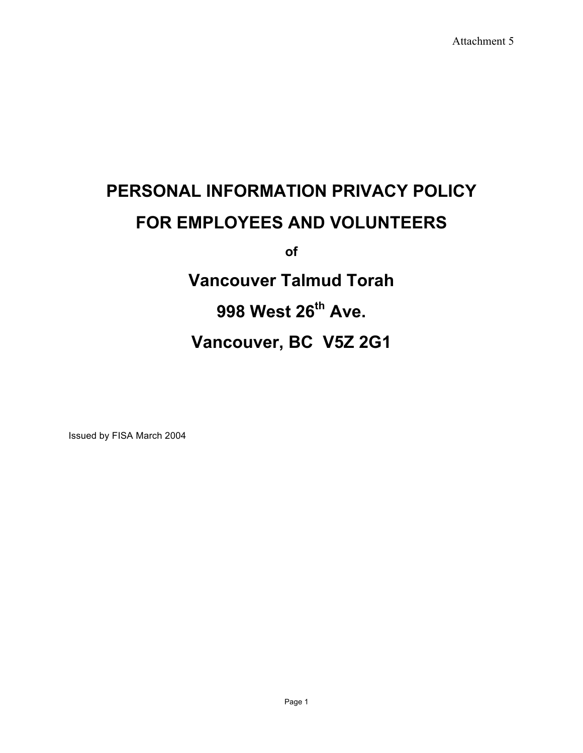# **PERSONAL INFORMATION PRIVACY POLICY FOR EMPLOYEES AND VOLUNTEERS**

**of**

**Vancouver Talmud Torah 998 West 26th Ave. Vancouver, BC V5Z 2G1**

Issued by FISA March 2004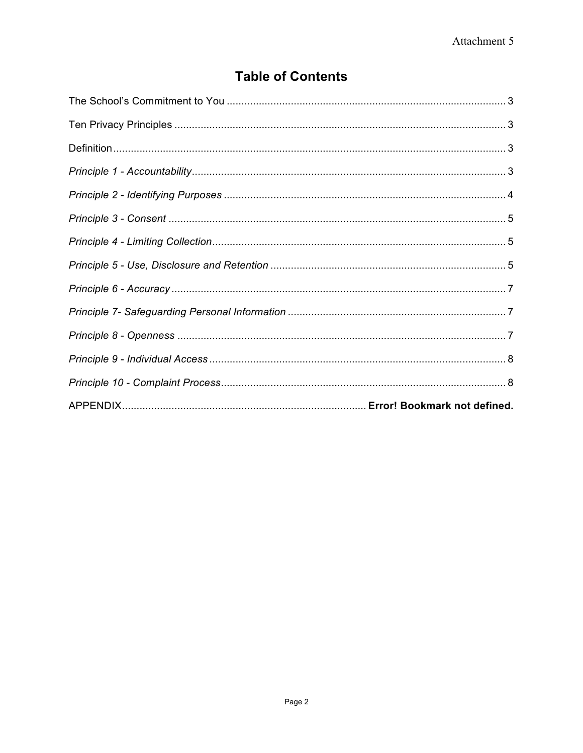# **Table of Contents**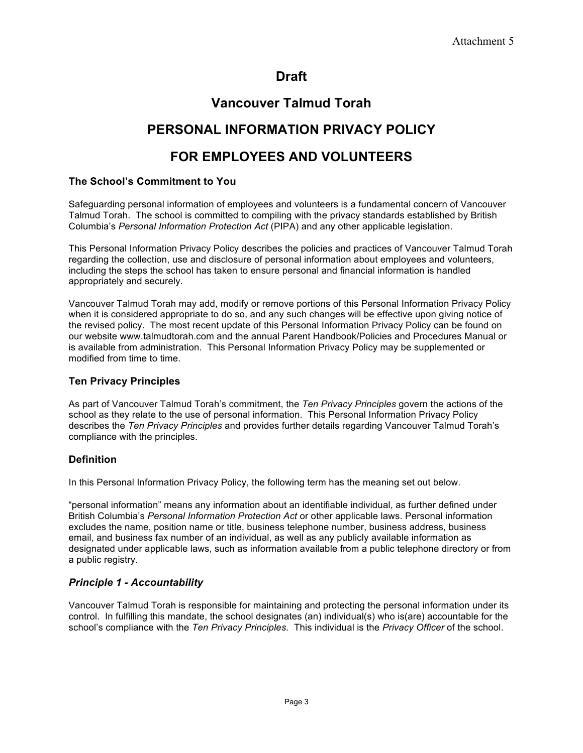# **Draft**

# **Vancouver Talmud Torah**

# **PERSONAL INFORMATION PRIVACY POLICY**

# **FOR EMPLOYEES AND VOLUNTEERS**

# **The School's Commitment to You**

Safeguarding personal information of employees and volunteers is a fundamental concern of Vancouver Talmud Torah. The school is committed to compiling with the privacy standards established by British Columbia's *Personal Information Protection Act* (PIPA) and any other applicable legislation.

This Personal Information Privacy Policy describes the policies and practices of Vancouver Talmud Torah regarding the collection, use and disclosure of personal information about employees and volunteers, including the steps the school has taken to ensure personal and financial information is handled appropriately and securely.

Vancouver Talmud Torah may add, modify or remove portions of this Personal Information Privacy Policy when it is considered appropriate to do so, and any such changes will be effective upon giving notice of the revised policy. The most recent update of this Personal Information Privacy Policy can be found on our website www.talmudtorah.com and the annual Parent Handbook/Policies and Procedures Manual or is available from administration. This Personal Information Privacy Policy may be supplemented or modified from time to time.

### **Ten Privacy Principles**

As part of Vancouver Talmud Torah's commitment, the *Ten Privacy Principles* govern the actions of the school as they relate to the use of personal information. This Personal Information Privacy Policy describes the *Ten Privacy Principles* and provides further details regarding Vancouver Talmud Torah's compliance with the principles.

# **Definition**

In this Personal Information Privacy Policy, the following term has the meaning set out below.

"personal information" means any information about an identifiable individual, as further defined under British Columbia's *Personal Information Protection Act* or other applicable laws. Personal information excludes the name, position name or title, business telephone number, business address, business email, and business fax number of an individual, as well as any publicly available information as designated under applicable laws, such as information available from a public telephone directory or from a public registry.

# *Principle 1 - Accountability*

Vancouver Talmud Torah is responsible for maintaining and protecting the personal information under its control. In fulfilling this mandate, the school designates (an) individual(s) who is(are) accountable for the school's compliance with the *Ten Privacy Principles*. This individual is the *Privacy Officer* of the school.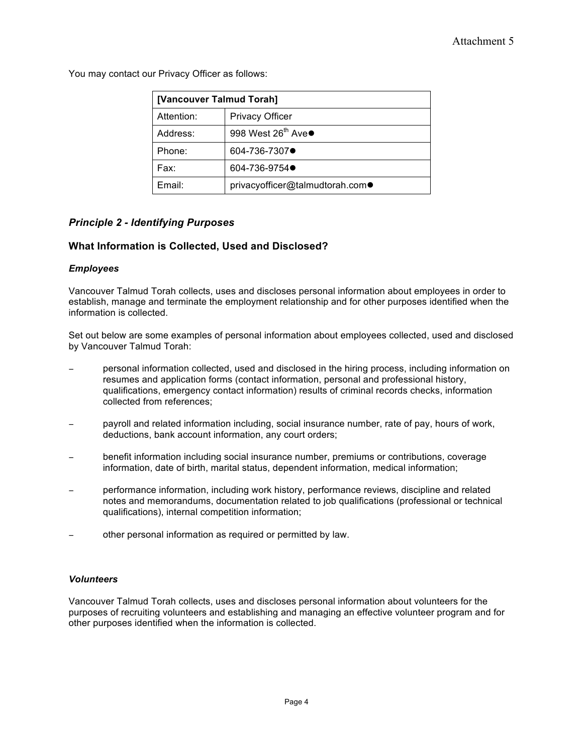You may contact our Privacy Officer as follows:

| [Vancouver Talmud Torah] |                                 |
|--------------------------|---------------------------------|
| Attention:               | <b>Privacy Officer</b>          |
| Address:                 | 998 West 26 <sup>th</sup> Ave●  |
| Phone:                   | 604-736-7307●                   |
| Fax:                     | 604-736-9754●                   |
| Email:                   | privacyofficer@talmudtorah.com● |

# *Principle 2 - Identifying Purposes*

#### **What Information is Collected, Used and Disclosed?**

#### *Employees*

Vancouver Talmud Torah collects, uses and discloses personal information about employees in order to establish, manage and terminate the employment relationship and for other purposes identified when the information is collected.

Set out below are some examples of personal information about employees collected, used and disclosed by Vancouver Talmud Torah:

- − personal information collected, used and disclosed in the hiring process, including information on resumes and application forms (contact information, personal and professional history, qualifications, emergency contact information) results of criminal records checks, information collected from references;
- payroll and related information including, social insurance number, rate of pay, hours of work, deductions, bank account information, any court orders;
- benefit information including social insurance number, premiums or contributions, coverage information, date of birth, marital status, dependent information, medical information;
- performance information, including work history, performance reviews, discipline and related notes and memorandums, documentation related to job qualifications (professional or technical qualifications), internal competition information;
- other personal information as required or permitted by law.

#### *Volunteers*

Vancouver Talmud Torah collects, uses and discloses personal information about volunteers for the purposes of recruiting volunteers and establishing and managing an effective volunteer program and for other purposes identified when the information is collected.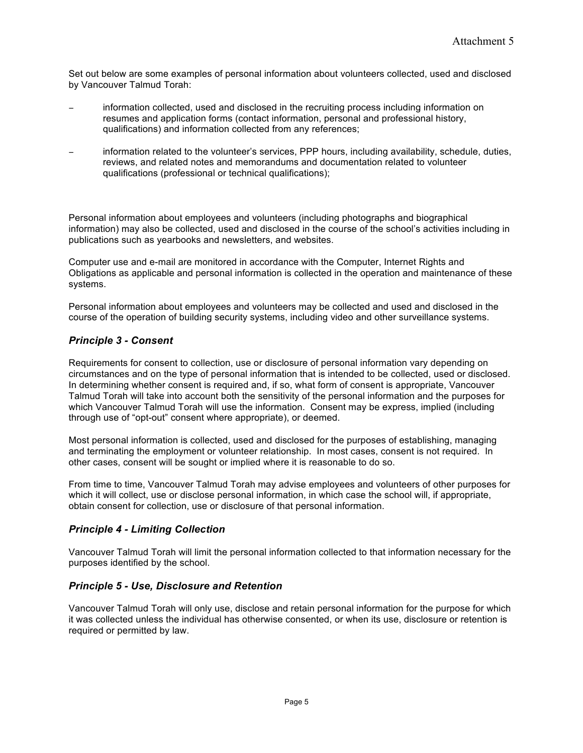Set out below are some examples of personal information about volunteers collected, used and disclosed by Vancouver Talmud Torah:

- information collected, used and disclosed in the recruiting process including information on resumes and application forms (contact information, personal and professional history, qualifications) and information collected from any references;
- information related to the volunteer's services, PPP hours, including availability, schedule, duties, reviews, and related notes and memorandums and documentation related to volunteer qualifications (professional or technical qualifications);

Personal information about employees and volunteers (including photographs and biographical information) may also be collected, used and disclosed in the course of the school's activities including in publications such as yearbooks and newsletters, and websites.

Computer use and e-mail are monitored in accordance with the Computer, Internet Rights and Obligations as applicable and personal information is collected in the operation and maintenance of these systems.

Personal information about employees and volunteers may be collected and used and disclosed in the course of the operation of building security systems, including video and other surveillance systems.

### *Principle 3 - Consent*

Requirements for consent to collection, use or disclosure of personal information vary depending on circumstances and on the type of personal information that is intended to be collected, used or disclosed. In determining whether consent is required and, if so, what form of consent is appropriate, Vancouver Talmud Torah will take into account both the sensitivity of the personal information and the purposes for which Vancouver Talmud Torah will use the information. Consent may be express, implied (including through use of "opt-out" consent where appropriate), or deemed.

Most personal information is collected, used and disclosed for the purposes of establishing, managing and terminating the employment or volunteer relationship. In most cases, consent is not required. In other cases, consent will be sought or implied where it is reasonable to do so.

From time to time, Vancouver Talmud Torah may advise employees and volunteers of other purposes for which it will collect, use or disclose personal information, in which case the school will, if appropriate, obtain consent for collection, use or disclosure of that personal information.

#### *Principle 4 - Limiting Collection*

Vancouver Talmud Torah will limit the personal information collected to that information necessary for the purposes identified by the school.

#### *Principle 5 - Use, Disclosure and Retention*

Vancouver Talmud Torah will only use, disclose and retain personal information for the purpose for which it was collected unless the individual has otherwise consented, or when its use, disclosure or retention is required or permitted by law.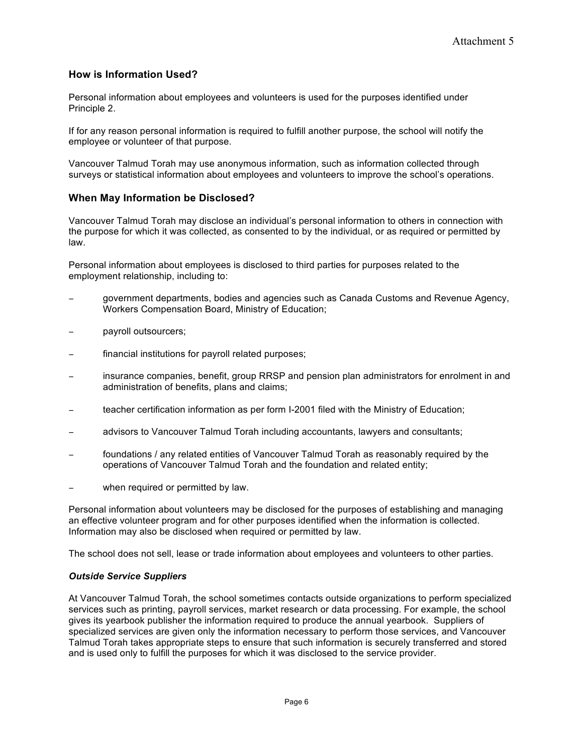## **How is Information Used?**

Personal information about employees and volunteers is used for the purposes identified under Principle 2.

If for any reason personal information is required to fulfill another purpose, the school will notify the employee or volunteer of that purpose.

Vancouver Talmud Torah may use anonymous information, such as information collected through surveys or statistical information about employees and volunteers to improve the school's operations.

#### **When May Information be Disclosed?**

Vancouver Talmud Torah may disclose an individual's personal information to others in connection with the purpose for which it was collected, as consented to by the individual, or as required or permitted by law.

Personal information about employees is disclosed to third parties for purposes related to the employment relationship, including to:

- − government departments, bodies and agencies such as Canada Customs and Revenue Agency, Workers Compensation Board, Ministry of Education;
- − payroll outsourcers;
- financial institutions for payroll related purposes;
- insurance companies, benefit, group RRSP and pension plan administrators for enrolment in and administration of benefits, plans and claims;
- teacher certification information as per form I-2001 filed with the Ministry of Education;
- − advisors to Vancouver Talmud Torah including accountants, lawyers and consultants;
- foundations / any related entities of Vancouver Talmud Torah as reasonably required by the operations of Vancouver Talmud Torah and the foundation and related entity;
- when required or permitted by law.

Personal information about volunteers may be disclosed for the purposes of establishing and managing an effective volunteer program and for other purposes identified when the information is collected. Information may also be disclosed when required or permitted by law.

The school does not sell, lease or trade information about employees and volunteers to other parties.

#### *Outside Service Suppliers*

At Vancouver Talmud Torah, the school sometimes contacts outside organizations to perform specialized services such as printing, payroll services, market research or data processing. For example, the school gives its yearbook publisher the information required to produce the annual yearbook. Suppliers of specialized services are given only the information necessary to perform those services, and Vancouver Talmud Torah takes appropriate steps to ensure that such information is securely transferred and stored and is used only to fulfill the purposes for which it was disclosed to the service provider.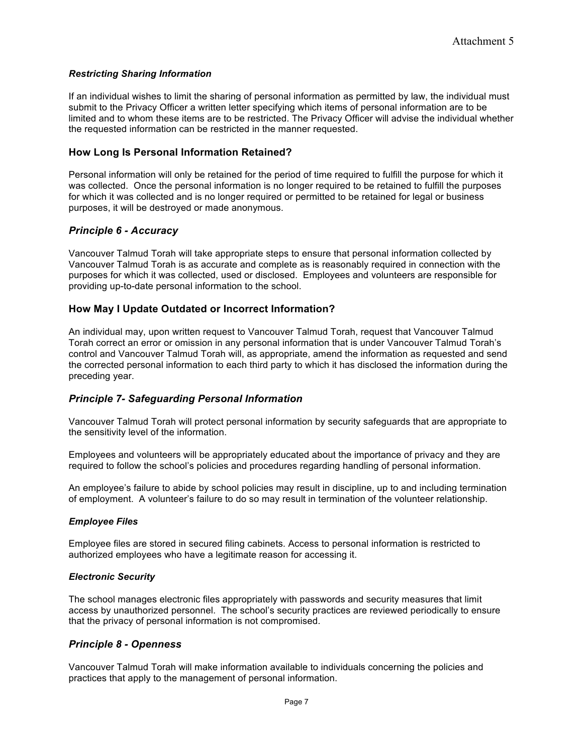#### *Restricting Sharing Information*

If an individual wishes to limit the sharing of personal information as permitted by law, the individual must submit to the Privacy Officer a written letter specifying which items of personal information are to be limited and to whom these items are to be restricted. The Privacy Officer will advise the individual whether the requested information can be restricted in the manner requested.

#### **How Long Is Personal Information Retained?**

Personal information will only be retained for the period of time required to fulfill the purpose for which it was collected. Once the personal information is no longer required to be retained to fulfill the purposes for which it was collected and is no longer required or permitted to be retained for legal or business purposes, it will be destroyed or made anonymous.

#### *Principle 6 - Accuracy*

Vancouver Talmud Torah will take appropriate steps to ensure that personal information collected by Vancouver Talmud Torah is as accurate and complete as is reasonably required in connection with the purposes for which it was collected, used or disclosed. Employees and volunteers are responsible for providing up-to-date personal information to the school.

#### **How May I Update Outdated or Incorrect Information?**

An individual may, upon written request to Vancouver Talmud Torah, request that Vancouver Talmud Torah correct an error or omission in any personal information that is under Vancouver Talmud Torah's control and Vancouver Talmud Torah will, as appropriate, amend the information as requested and send the corrected personal information to each third party to which it has disclosed the information during the preceding year.

#### *Principle 7- Safeguarding Personal Information*

Vancouver Talmud Torah will protect personal information by security safeguards that are appropriate to the sensitivity level of the information.

Employees and volunteers will be appropriately educated about the importance of privacy and they are required to follow the school's policies and procedures regarding handling of personal information.

An employee's failure to abide by school policies may result in discipline, up to and including termination of employment. A volunteer's failure to do so may result in termination of the volunteer relationship.

#### *Employee Files*

Employee files are stored in secured filing cabinets. Access to personal information is restricted to authorized employees who have a legitimate reason for accessing it.

#### *Electronic Security*

The school manages electronic files appropriately with passwords and security measures that limit access by unauthorized personnel. The school's security practices are reviewed periodically to ensure that the privacy of personal information is not compromised.

#### *Principle 8 - Openness*

Vancouver Talmud Torah will make information available to individuals concerning the policies and practices that apply to the management of personal information.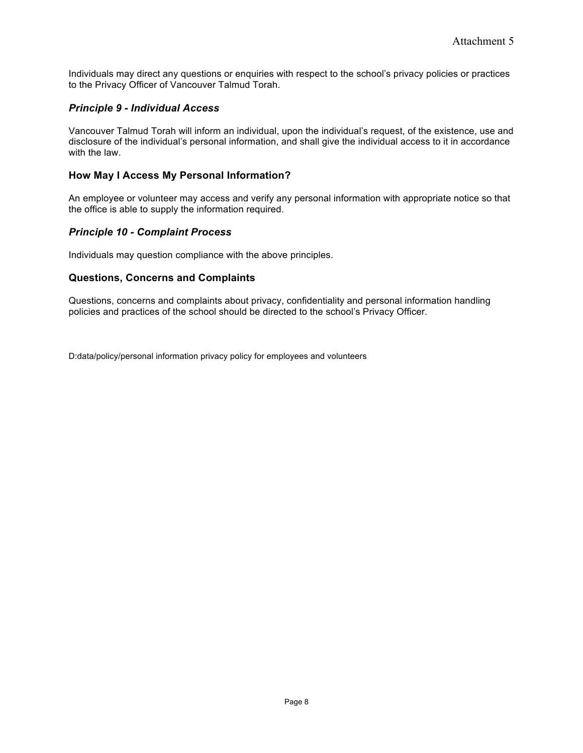Individuals may direct any questions or enquiries with respect to the school's privacy policies or practices to the Privacy Officer of Vancouver Talmud Torah.

## *Principle 9 - Individual Access*

Vancouver Talmud Torah will inform an individual, upon the individual's request, of the existence, use and disclosure of the individual's personal information, and shall give the individual access to it in accordance with the law.

### **How May I Access My Personal Information?**

An employee or volunteer may access and verify any personal information with appropriate notice so that the office is able to supply the information required.

### *Principle 10 - Complaint Process*

Individuals may question compliance with the above principles.

#### **Questions, Concerns and Complaints**

Questions, concerns and complaints about privacy, confidentiality and personal information handling policies and practices of the school should be directed to the school's Privacy Officer.

D:data/policy/personal information privacy policy for employees and volunteers